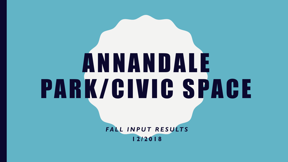# A N N A N D A L E PARK/CIVIC SPACE

FALL INPUT RESULTS **1 2 / 2 0 1 8**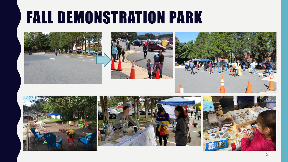#### FALL DEMONSTRATION PARK











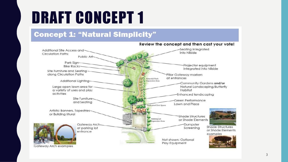### DRAFT CONCEPT 1

#### **Concept 1: "Natural Simplicity"**

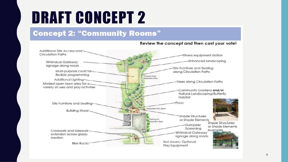### DRAFT CONCEPT 2

#### **Concept 2: "Community Rooms"**



Review the concept and then cast your vote!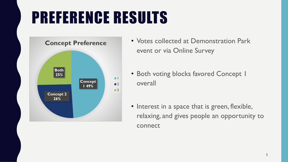## PREFERENCE RESULTS



- Votes collected at Demonstration Park event or via Online Survey
- Both voting blocks favored Concept 1 overall
- Interest in a space that is green, flexible, relaxing, and gives people an opportunity to connect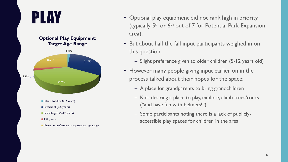



**Preschool (2-5 years)** 

School-aged (5-12 years)

 $13+$  years

I have no preference or opinion on age range

- PLAY Optional play equipment did not rank high in priority (typically  $5<sup>th</sup>$  or  $6<sup>th</sup>$  out of 7 for Potential Park Expansion area).
	- But about half the fall input participants weighed in on this question.
		- Slight preference given to older children (5-12 years old)
	- However many people giving input earlier on in the process talked about their hopes for the space:
		- A place for grandparents to bring grandchildren
		- Kids desiring a place to play, explore, climb trees/rocks ("and have fun with helmets!")
		- Some participants noting there is a lack of publiclyaccessible play spaces for children in the area